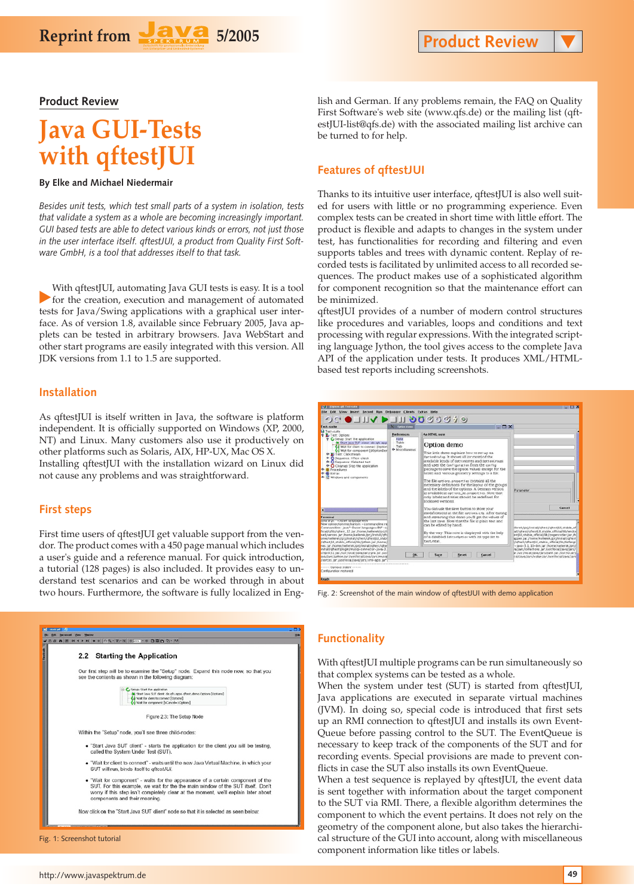**Product Review**

# **Java GUI-Tests with qftestJUI**

Reprint from **Fava** 5/2005

#### **By Elke and Michael Niedermair**

*Besides unit tests, which test small parts of a system in isolation, tests that validate a system as a whole are becoming increasingly important. GUI based tests are able to detect various kinds or errors, not just those in the user interface itself. qftestJUI, a product from Quality First Software GmbH, is a tool that addresses itself to that task.*

With qftestJUI, automating Java GUI tests is easy. It is a tool<br>for the creation, execution and management of automated tests for Java/Swing applications with a graphical user interface. As of version 1.8, available since February 2005, Java applets can be tested in arbitrary browsers. Java WebStart and other start programs are easily integrated with this version. All JDK versions from 1.1 to 1.5 are supported.

#### **Installation**

As qftestJUI is itself written in Java, the software is platform independent. It is officially supported on Windows (XP, 2000, NT) and Linux. Many customers also use it productively on other platforms such as Solaris, AIX, HP-UX, Mac OS X. Installing qftestJUI with the installation wizard on Linux did not cause any problems and was straightforward.

#### **First steps**

First time users of qftestJUI get valuable support from the vendor. The product comes with a 450 page manual which includes a user's guide and a reference manual. For quick introduction, a tutorial (128 pages) is also included. It provides easy to understand test scenarios and can be worked through in about two hours. Furthermore, the software is fully localized in Eng-



Fig. 1: Screenshot tutorial

lish and German. If any problems remain, the FAQ on Quality First Software's web site (www.qfs.de) or the mailing list (qftestJUI-list@qfs.de) with the associated mailing list archive can be turned to for help.

#### **Features of qftestJUI**

Thanks to its intuitive user interface, qftestJUI is also well suited for users with little or no programming experience. Even complex tests can be created in short time with little effort. The product is flexible and adapts to changes in the system under test, has functionalities for recording and filtering and even supports tables and trees with dynamic content. Replay of recorded tests is facilitated by unlimited access to all recorded sequences. The product makes use of a sophisticated algorithm for component recognition so that the maintenance effort can be minimized.

qftestJUI provides of a number of modern control structures like procedures and variables, loops and conditions and text processing with regular expressions. With the integrated scripting language Jython, the tool gives access to the complete Java API of the application under tests. It produces XML/HTMLbased test reports including screenshots.

| OCO UIV DI DOCCO 40<br><b>Fest-suite</b>                                                                                                                                                                                                                                                                                                                                                                                                                                                                                                                                                                                                                                                                                                                                                                                                                                                                                                                                                                                     | N. Cylinn dame                                  | $  \times$                                                                                                                                                                                                                                                                                                                                                                                                                                                                                                                                                                                               |                                                                                                                                                                                                                                                                                                                                                                                                                                                                           |
|------------------------------------------------------------------------------------------------------------------------------------------------------------------------------------------------------------------------------------------------------------------------------------------------------------------------------------------------------------------------------------------------------------------------------------------------------------------------------------------------------------------------------------------------------------------------------------------------------------------------------------------------------------------------------------------------------------------------------------------------------------------------------------------------------------------------------------------------------------------------------------------------------------------------------------------------------------------------------------------------------------------------------|-------------------------------------------------|----------------------------------------------------------------------------------------------------------------------------------------------------------------------------------------------------------------------------------------------------------------------------------------------------------------------------------------------------------------------------------------------------------------------------------------------------------------------------------------------------------------------------------------------------------------------------------------------------------|---------------------------------------------------------------------------------------------------------------------------------------------------------------------------------------------------------------------------------------------------------------------------------------------------------------------------------------------------------------------------------------------------------------------------------------------------------------------------|
| Test-puite<br><b>C</b> Lest: Options<br>P C Serup: Start the application<br>(a) Start Java SUT client: de gft app.<br>Ca Wait for client to connect (Option)<br>(a) Wait for component [dOationDer]<br><b>0- D</b> Test Clickstream<br><sup>6</sup> O Sequence: IfText check<br><sup>6</sup> O Sequence: ISelected test<br>C Cleanup: Stop the application<br><b>Gi</b> Procedures<br><b>6- @ Extrac</b><br>all Windows and compenents<br><b>Terminal</b><br><b>SWEAT 25. HUMAN RESIDENT RETS</b><br>New connection mechanism - commandline re<br>Commandine: Java *-Duser language=BV -ci<br>hial/gfilty/gftest_12.jar./home/kellerek/pri/l<br>sed/xerces_jar_/hama/kellarek/pri/install/ofti<br>ome/kallerek/pri/install/g/test/gftestRR_stabi<br>reftest UI, stable, cfficial/lib/jython.jar./horse.j<br>hes.lar.mome/keterek.jpri/install/oftes/ighe<br>install/qftest/plugin/mycql=connector=j2va=3.<br>Invertix 1.2. Jan. Austr. Norgal Transultans Forms, Iam Austr.<br>wa/jars/jutton.jar./usr/local/jeva/jars/mysql | <b>Preferences</b>                              | An HTML note                                                                                                                                                                                                                                                                                                                                                                                                                                                                                                                                                                                             |                                                                                                                                                                                                                                                                                                                                                                                                                                                                           |
|                                                                                                                                                                                                                                                                                                                                                                                                                                                                                                                                                                                                                                                                                                                                                                                                                                                                                                                                                                                                                              | Note<br>Table<br>Tab<br><b>C</b> -Micraflaneous | Option demo<br>This little demo explains how to set up an<br>OptionDialog It shows all (or most) of the<br>available lends of gettantgres and gettencrouss<br>and uses the Configuration from the config-<br>package to save the option values except for the<br>Itable) and various geometry settings to a file.<br>The file options, properties contains all the<br>necessary definitions for the layout of the groups<br>land the labels of the options. A German version<br>is available in options, de. properties. Note that<br>only labels and titles should be redefined for<br>Rockined versons | Parameter<br>Cancel<br>therek/pri/mmali/oftest/oftestilli.stable.of<br>all'offest/cftest1Jl.stable.cfficial/lib/endol<br>ettilli stable official/lib/pngencoder.jar./h<br>spoer.ia:/home/kellerek/pri/install/g/test<br>Voltest/oftestJJL, stable, official/lib/bsfangi<br>-Java-3.1.10-bin.jar./home/kelerak.pri/<br>a/jars/collections.jar.fusr/local/java/jars/<br>ar: Jusy Recal/Heys/Jans/Junit Jan Aestrito: atril_<br>catriovariars/xalan.jar./vsr/locatriovariars |
|                                                                                                                                                                                                                                                                                                                                                                                                                                                                                                                                                                                                                                                                                                                                                                                                                                                                                                                                                                                                                              |                                                 | You can use the save button to store your<br>modifications in the file ortions, cfp. After exiting<br>and restarting this demo you'll get the values of<br>the last save. Note that the file is plain text and<br>can be edited by hand.<br>By the way. This note is displayed with the help<br>of a disabled Editor@ption with its type set to<br>EAXE/REAL                                                                                                                                                                                                                                             |                                                                                                                                                                                                                                                                                                                                                                                                                                                                           |
|                                                                                                                                                                                                                                                                                                                                                                                                                                                                                                                                                                                                                                                                                                                                                                                                                                                                                                                                                                                                                              | OK.                                             | Save<br>Reset<br>Cancel                                                                                                                                                                                                                                                                                                                                                                                                                                                                                                                                                                                  |                                                                                                                                                                                                                                                                                                                                                                                                                                                                           |

Fig. 2: Screenshot of the main window of qftestJUI with demo application

### **Functionality**

With qftestJUI multiple programs can be run simultaneously so that complex systems can be tested as a whole.

When the system under test (SUT) is started from qftestJUI, Java applications are executed in separate virtual machines (JVM). In doing so, special code is introduced that first sets up an RMI connection to qftestJUI and installs its own Event-Queue before passing control to the SUT. The EventQueue is necessary to keep track of the components of the SUT and for recording events. Special provisions are made to prevent conflicts in case the SUT also installs its own EventQueue.

When a test sequence is replayed by qftestJUI, the event data is sent together with information about the target component to the SUT via RMI. There, a flexible algorithm determines the component to which the event pertains. It does not rely on the geometry of the component alone, but also takes the hierarchical structure of the GUI into account, along with miscellaneous component information like titles or labels.